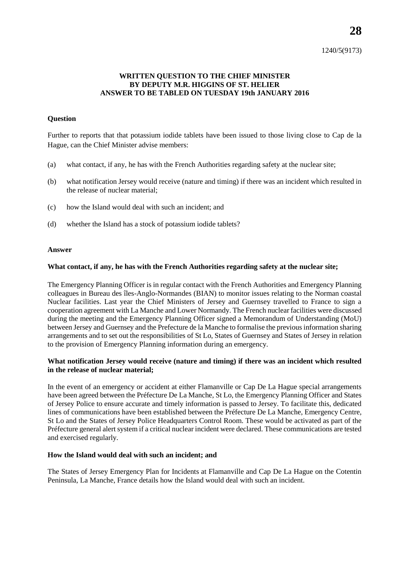1240/5(9173)

# **WRITTEN QUESTION TO THE CHIEF MINISTER BY DEPUTY M.R. HIGGINS OF ST. HELIER ANSWER TO BE TABLED ON TUESDAY 19th JANUARY 2016**

## **Question**

Further to reports that that potassium iodide tablets have been issued to those living close to Cap de la Hague, can the Chief Minister advise members:

- (a) what contact, if any, he has with the French Authorities regarding safety at the nuclear site;
- (b) what notification Jersey would receive (nature and timing) if there was an incident which resulted in the release of nuclear material;
- (c) how the Island would deal with such an incident; and
- (d) whether the Island has a stock of potassium iodide tablets?

#### **Answer**

## **What contact, if any, he has with the French Authorities regarding safety at the nuclear site;**

The Emergency Planning Officer is in regular contact with the French Authorities and Emergency Planning colleagues in Bureau des îles-Anglo-Normandes (BIAN) to monitor issues relating to the Norman coastal Nuclear facilities. Last year the Chief Ministers of Jersey and Guernsey travelled to France to sign a cooperation agreement with La Manche and Lower Normandy. The French nuclear facilities were discussed during the meeting and the Emergency Planning Officer signed a Memorandum of Understanding (MoU) between Jersey and Guernsey and the Prefecture de la Manche to formalise the previous information sharing arrangements and to set out the responsibilities of St Lo, States of Guernsey and States of Jersey in relation to the provision of Emergency Planning information during an emergency.

## **What notification Jersey would receive (nature and timing) if there was an incident which resulted in the release of nuclear material;**

In the event of an emergency or accident at either Flamanville or Cap De La Hague special arrangements have been agreed between the Préfecture De La Manche, St Lo, the Emergency Planning Officer and States of Jersey Police to ensure accurate and timely information is passed to Jersey. To facilitate this, dedicated lines of communications have been established between the Préfecture De La Manche, Emergency Centre, St Lo and the States of Jersey Police Headquarters Control Room. These would be activated as part of the Préfecture general alert system if a critical nuclear incident were declared. These communications are tested and exercised regularly.

#### **How the Island would deal with such an incident; and**

The States of Jersey Emergency Plan for Incidents at Flamanville and Cap De La Hague on the Cotentin Peninsula, La Manche, France details how the Island would deal with such an incident.